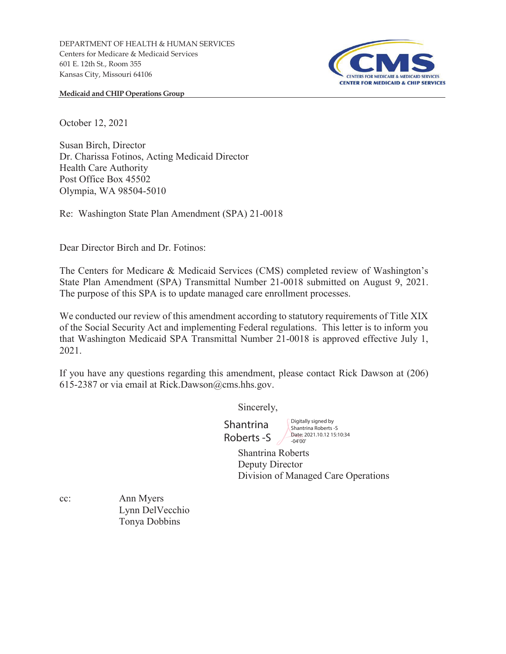

**Medicaid and CHIP Operations Group** 

October 12, 2021

Susan Birch, Director Dr. Charissa Fotinos, Acting Medicaid Director Health Care Authority Post Office Box 45502 Olympia, WA 98504-5010

Re: Washington State Plan Amendment (SPA) 21-0018

Dear Director Birch and Dr. Fotinos:

The Centers for Medicare & Medicaid Services (CMS) completed review of Washington's State Plan Amendment (SPA) Transmittal Number 21-0018 submitted on August 9, 2021. The purpose of this SPA is to update managed care enrollment processes.

We conducted our review of this amendment according to statutory requirements of Title XIX of the Social Security Act and implementing Federal regulations. This letter is to inform you that Washington Medicaid SPA Transmittal Number 21-0018 is approved effective July 1, 2021.

If you have any questions regarding this amendment, please contact Rick Dawson at (206) 615-2387 or via email at Rick.Dawson@cms.hhs.gov.

Sincerely,

Shantrina Roberts -S

Digitally signed by Shantrina Roberts -S Date: 2021.10.12 15:10:34 -04'00'

Shantrina Roberts Deputy Director Division of Managed Care Operations

cc: Ann Myers Lynn DelVecchio Tonya Dobbins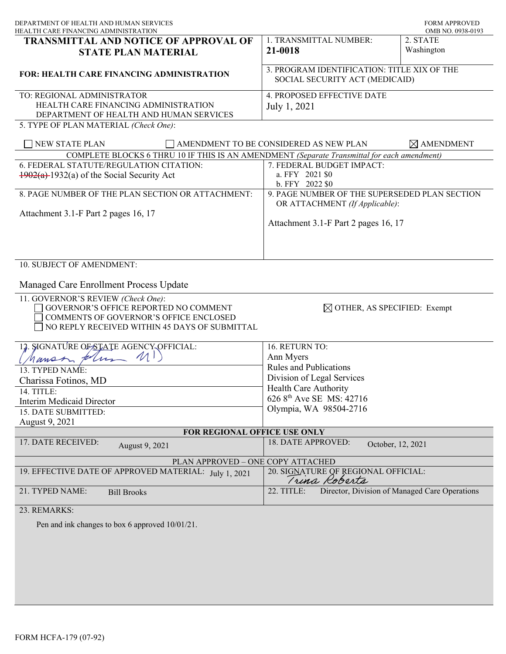| DEPARTMENT OF HEALTH AND HUMAN SERVICES<br>HEALTH CARE FINANCING ADMINISTRATION                                                                                        | <b>FORM APPROVED</b><br>OMB NO. 0938-0193                                       |                        |
|------------------------------------------------------------------------------------------------------------------------------------------------------------------------|---------------------------------------------------------------------------------|------------------------|
| TRANSMITTAL AND NOTICE OF APPROVAL OF<br><b>STATE PLAN MATERIAL</b>                                                                                                    | 1. TRANSMITTAL NUMBER:<br>21-0018                                               | 2. STATE<br>Washington |
| <b>FOR: HEALTH CARE FINANCING ADMINISTRATION</b>                                                                                                                       | 3. PROGRAM IDENTIFICATION: TITLE XIX OF THE<br>SOCIAL SECURITY ACT (MEDICAID)   |                        |
| TO: REGIONAL ADMINISTRATOR<br>HEALTH CARE FINANCING ADMINISTRATION<br>DEPARTMENT OF HEALTH AND HUMAN SERVICES<br>5. TYPE OF PLAN MATERIAL (Check One):                 | 4. PROPOSED EFFECTIVE DATE<br>July 1, 2021                                      |                        |
| NEW STATE PLAN                                                                                                                                                         | AMENDMENT TO BE CONSIDERED AS NEW PLAN                                          | $\boxtimes$ AMENDMENT  |
| COMPLETE BLOCKS 6 THRU 10 IF THIS IS AN AMENDMENT (Separate Transmittal for each amendment)                                                                            |                                                                                 |                        |
| 6. FEDERAL STATUTE/REGULATION CITATION:                                                                                                                                | 7. FEDERAL BUDGET IMPACT:                                                       |                        |
| $\frac{1902(a)}{1932(a)}$ of the Social Security Act                                                                                                                   | a. FFY 2021 \$0<br>b. FFY 2022 \$0                                              |                        |
| 8. PAGE NUMBER OF THE PLAN SECTION OR ATTACHMENT:                                                                                                                      | 9. PAGE NUMBER OF THE SUPERSEDED PLAN SECTION<br>OR ATTACHMENT (If Applicable): |                        |
| Attachment 3.1-F Part 2 pages 16, 17                                                                                                                                   | Attachment 3.1-F Part 2 pages 16, 17                                            |                        |
| 10. SUBJECT OF AMENDMENT:<br>Managed Care Enrollment Process Update                                                                                                    |                                                                                 |                        |
| 11. GOVERNOR'S REVIEW (Check One):<br>GOVERNOR'S OFFICE REPORTED NO COMMENT<br>COMMENTS OF GOVERNOR'S OFFICE ENCLOSED<br>NO REPLY RECEIVED WITHIN 45 DAYS OF SUBMITTAL | $\boxtimes$ OTHER, AS SPECIFIED: Exempt                                         |                        |
| 12. SIGNATURE OF STATE AGENCY OFFICIAL:                                                                                                                                | 16. RETURN TO:                                                                  |                        |
| $4m$ $M$ )<br>Manss                                                                                                                                                    | Ann Myers                                                                       |                        |
| 13. TYPED NAME:                                                                                                                                                        | <b>Rules and Publications</b>                                                   |                        |
| Charissa Fotinos, MD                                                                                                                                                   | Division of Legal Services                                                      |                        |
| 14. TITLE:                                                                                                                                                             | <b>Health Care Authority</b>                                                    |                        |
| <b>Interim Medicaid Director</b>                                                                                                                                       | 626 8 <sup>th</sup> Ave SE MS: 42716                                            |                        |
| 15. DATE SUBMITTED:                                                                                                                                                    | Olympia, WA 98504-2716                                                          |                        |
| August 9, 2021                                                                                                                                                         |                                                                                 |                        |
| FOR REGIONAL OFFICE USE ONLY                                                                                                                                           |                                                                                 |                        |
| 17. DATE RECEIVED:<br>August 9, 2021                                                                                                                                   | 18. DATE APPROVED:<br>October, 12, 2021                                         |                        |
| PLAN APPROVED - ONE COPY ATTACHED                                                                                                                                      |                                                                                 |                        |
| 19. EFFECTIVE DATE OF APPROVED MATERIAL: July 1, 2021                                                                                                                  | 20. SIGNATURE OF REGIONAL OFFICIAL:<br>Trina Roberts                            |                        |
| 21. TYPED NAME:<br><b>Bill Brooks</b>                                                                                                                                  | 22. TITLE:<br>Director, Division of Managed Care Operations                     |                        |
| 23. REMARKS:                                                                                                                                                           |                                                                                 |                        |
| Pen and ink changes to box 6 approved 10/01/21.                                                                                                                        |                                                                                 |                        |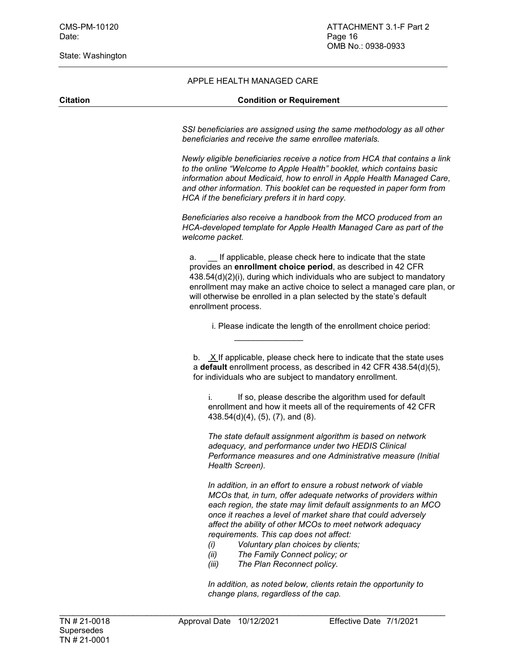State: Washington

## APPLE HEALTH MANAGED CARE

## **Citation Condition or Requirement**

*SSI beneficiaries are assigned using the same methodology as all other beneficiaries and receive the same enrollee materials.*

*Newly eligible beneficiaries receive a notice from HCA that contains a link to the online "Welcome to Apple Health" booklet, which contains basic information about Medicaid, how to enroll in Apple Health Managed Care, and other information. This booklet can be requested in paper form from HCA if the beneficiary prefers it in hard copy.*

*Beneficiaries also receive a handbook from the MCO produced from an HCA-developed template for Apple Health Managed Care as part of the welcome packet.* 

a. \_\_ If applicable, please check here to indicate that the state provides an **enrollment choice period**, as described in 42 CFR 438.54(d)(2)(i), during which individuals who are subject to mandatory enrollment may make an active choice to select a managed care plan, or will otherwise be enrolled in a plan selected by the state's default enrollment process.

i. Please indicate the length of the enrollment choice period:

b. X If applicable, please check here to indicate that the state uses a **default** enrollment process, as described in 42 CFR 438.54(d)(5), for individuals who are subject to mandatory enrollment.

i. If so, please describe the algorithm used for default enrollment and how it meets all of the requirements of 42 CFR 438.54(d)(4), (5), (7), and (8).

*The state default assignment algorithm is based on network adequacy, and performance under two HEDIS Clinical Performance measures and one Administrative measure (Initial Health Screen).* 

*In addition, in an effort to ensure a robust network of viable MCOs that, in turn, offer adequate networks of providers within each region, the state may limit default assignments to an MCO once it reaches a level of market share that could adversely affect the ability of other MCOs to meet network adequacy requirements. This cap does not affect:*

- *(i) Voluntary plan choices by clients;*
- *(ii) The Family Connect policy; or*

\_\_\_\_\_\_\_\_\_\_\_\_\_\_\_

*(iii) The Plan Reconnect policy.*

*In addition, as noted below, clients retain the opportunity to change plans, regardless of the cap.*